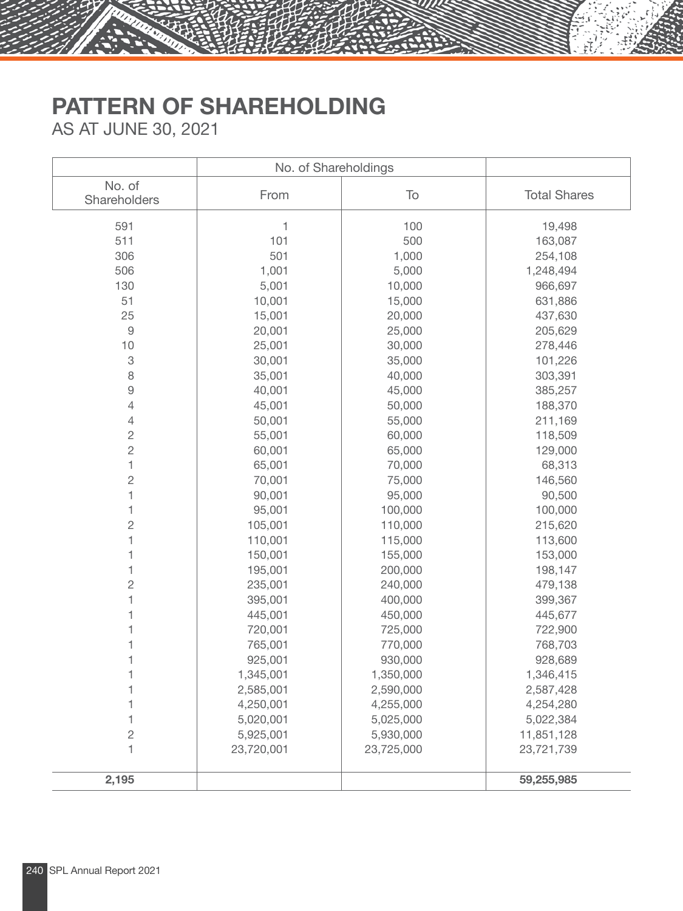|                           | No. of Shareholdings |            |                     |
|---------------------------|----------------------|------------|---------------------|
| No. of<br>Shareholders    | From                 | To         | <b>Total Shares</b> |
| 591                       | 1                    | 100        | 19,498              |
| 511                       | 101                  | 500        | 163,087             |
| 306                       | 501                  | 1,000      | 254,108             |
| 506                       | 1,001                | 5,000      | 1,248,494           |
| 130                       | 5,001                | 10,000     | 966,697             |
| 51                        | 10,001               | 15,000     | 631,886             |
| 25                        | 15,001               | 20,000     | 437,630             |
| $\boldsymbol{9}$          | 20,001               | 25,000     | 205,629             |
| 10                        | 25,001               | 30,000     | 278,446             |
| $\ensuremath{\mathsf{3}}$ | 30,001               | 35,000     | 101,226             |
| 8                         | 35,001               | 40,000     | 303,391             |
| 9                         | 40,001               | 45,000     | 385,257             |
| 4                         | 45,001               | 50,000     | 188,370             |
| 4                         | 50,001               | 55,000     | 211,169             |
| $\overline{c}$            | 55,001               | 60,000     | 118,509             |
| $\overline{c}$            | 60,001               | 65,000     | 129,000             |
| 1                         | 65,001               | 70,000     | 68,313              |
| $\sqrt{2}$                | 70,001               | 75,000     | 146,560             |
| 1                         | 90,001               | 95,000     | 90,500              |
| 1                         | 95,001               | 100,000    | 100,000             |
| $\overline{c}$            | 105,001              | 110,000    | 215,620             |
| 1                         | 110,001              | 115,000    | 113,600             |
| 1                         | 150,001              | 155,000    | 153,000             |
| 1                         | 195,001              | 200,000    | 198,147             |
| $\overline{c}$            | 235,001              | 240,000    | 479,138             |
| 1                         | 395,001              | 400,000    | 399,367             |
| 1                         | 445,001              | 450,000    | 445,677             |
| 1                         | 720,001              | 725,000    | 722,900             |
| 1                         | 765,001              | 770,000    | 768,703             |
| 1                         | 925,001              | 930,000    | 928,689             |
|                           | 1,345,001            | 1,350,000  | 1,346,415           |
| 1                         | 2,585,001            | 2,590,000  | 2,587,428           |
| 1                         | 4,250,001            | 4,255,000  | 4,254,280           |
| 1                         | 5,020,001            | 5,025,000  | 5,022,384           |
| $\sqrt{2}$                | 5,925,001            | 5,930,000  | 11,851,128          |
| 1                         | 23,720,001           | 23,725,000 | 23,721,739          |
| 2,195                     |                      |            | 59,255,985          |
|                           |                      |            |                     |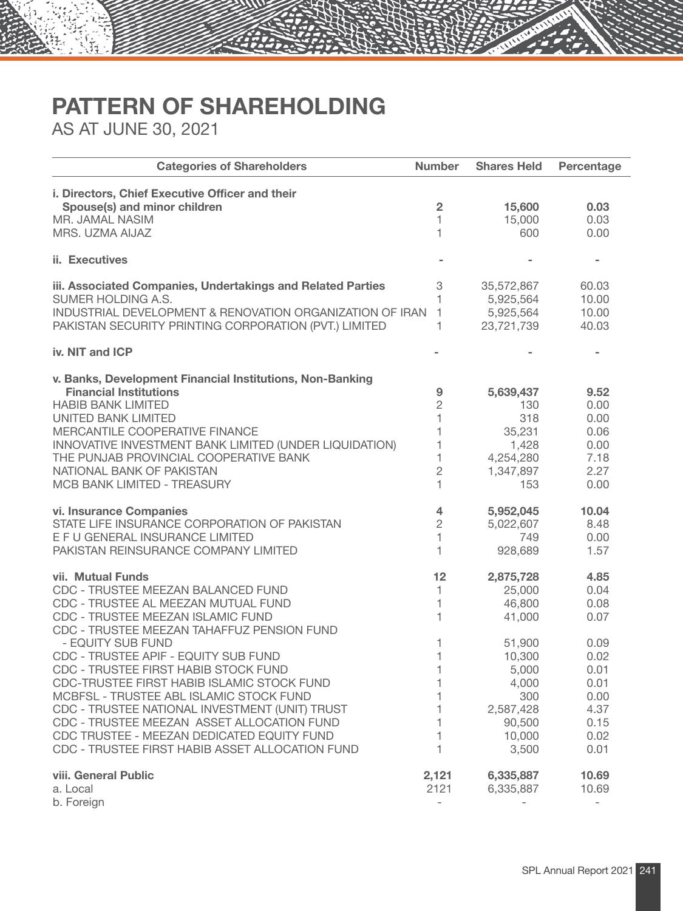| <b>Categories of Shareholders</b>                           | <b>Number</b>             | <b>Shares Held</b> | Percentage               |
|-------------------------------------------------------------|---------------------------|--------------------|--------------------------|
| i. Directors, Chief Executive Officer and their             |                           |                    |                          |
| Spouse(s) and minor children                                | $\overline{2}$            | 15,600             | 0.03                     |
| MR. JAMAL NASIM                                             | 1                         | 15,000             | 0.03                     |
| MRS. UZMA AIJAZ                                             | $\mathbf{1}$              | 600                | 0.00                     |
|                                                             |                           |                    |                          |
| ii. Executives                                              |                           |                    |                          |
| iii. Associated Companies, Undertakings and Related Parties | $\ensuremath{\mathsf{3}}$ | 35,572,867         | 60.03                    |
| SUMER HOLDING A.S.                                          | 1                         | 5,925,564          | 10.00                    |
| INDUSTRIAL DEVELOPMENT & RENOVATION ORGANIZATION OF IRAN    | $\mathbf{1}$              | 5,925,564          | 10.00                    |
| PAKISTAN SECURITY PRINTING CORPORATION (PVT.) LIMITED       | 1                         | 23,721,739         | 40.03                    |
| iv. NIT and ICP                                             |                           |                    |                          |
|                                                             |                           |                    |                          |
| v. Banks, Development Financial Institutions, Non-Banking   |                           |                    |                          |
| <b>Financial Institutions</b>                               | 9                         | 5,639,437          | 9.52                     |
| <b>HABIB BANK LIMITED</b>                                   | $\overline{2}$            | 130                | 0.00                     |
| UNITED BANK LIMITED                                         | 1                         | 318                | 0.00                     |
| MERCANTILE COOPERATIVE FINANCE                              |                           | 35,231             | 0.06                     |
| INNOVATIVE INVESTMENT BANK LIMITED (UNDER LIQUIDATION)      | 1                         | 1,428              | 0.00                     |
| THE PUNJAB PROVINCIAL COOPERATIVE BANK                      | 1                         | 4,254,280          | 7.18                     |
| NATIONAL BANK OF PAKISTAN                                   | $\overline{c}$            | 1,347,897          | 2.27                     |
| MCB BANK LIMITED - TREASURY                                 | 1                         | 153                | 0.00                     |
| vi. Insurance Companies                                     | 4                         | 5,952,045          | 10.04                    |
| STATE LIFE INSURANCE CORPORATION OF PAKISTAN                | $\mathbf{2}$              | 5,022,607          | 8.48                     |
| E F U GENERAL INSURANCE LIMITED                             | $\mathbf{1}$              | 749                | 0.00                     |
| PAKISTAN REINSURANCE COMPANY LIMITED                        | 1                         | 928,689            | 1.57                     |
|                                                             |                           |                    |                          |
| vii. Mutual Funds                                           | 12                        | 2,875,728          | 4.85                     |
| CDC - TRUSTEE MEEZAN BALANCED FUND                          | $\mathbf{1}$              | 25,000             | 0.04                     |
| CDC - TRUSTEE AL MEEZAN MUTUAL FUND                         | $\mathbf{1}$              | 46,800             | 0.08                     |
| CDC - TRUSTEE MEEZAN ISLAMIC FUND                           | $\mathbf{1}$              | 41,000             | 0.07                     |
| CDC - TRUSTEE MEEZAN TAHAFFUZ PENSION FUND                  |                           |                    |                          |
| - EQUITY SUB FUND                                           | 1                         | 51,900             | 0.09                     |
| CDC - TRUSTEE APIF - EQUITY SUB FUND                        | 1                         | 10,300             | 0.02                     |
| CDC - TRUSTEE FIRST HABIB STOCK FUND                        | 1                         | 5,000              | 0.01                     |
| CDC-TRUSTEE FIRST HABIB ISLAMIC STOCK FUND                  |                           | 4,000              | 0.01                     |
| MCBFSL - TRUSTEE ABL ISLAMIC STOCK FUND                     |                           | 300                | 0.00                     |
| CDC - TRUSTEE NATIONAL INVESTMENT (UNIT) TRUST              |                           | 2,587,428          | 4.37                     |
| CDC - TRUSTEE MEEZAN ASSET ALLOCATION FUND                  |                           | 90,500             | 0.15                     |
| CDC TRUSTEE - MEEZAN DEDICATED EQUITY FUND                  | 1                         | 10,000             | 0.02                     |
| CDC - TRUSTEE FIRST HABIB ASSET ALLOCATION FUND             |                           | 3,500              | 0.01                     |
|                                                             |                           |                    |                          |
| viii. General Public                                        | 2,121<br>2121             | 6,335,887          | 10.69                    |
| a. Local                                                    |                           | 6,335,887          | 10.69                    |
| b. Foreign                                                  |                           |                    | $\overline{\phantom{a}}$ |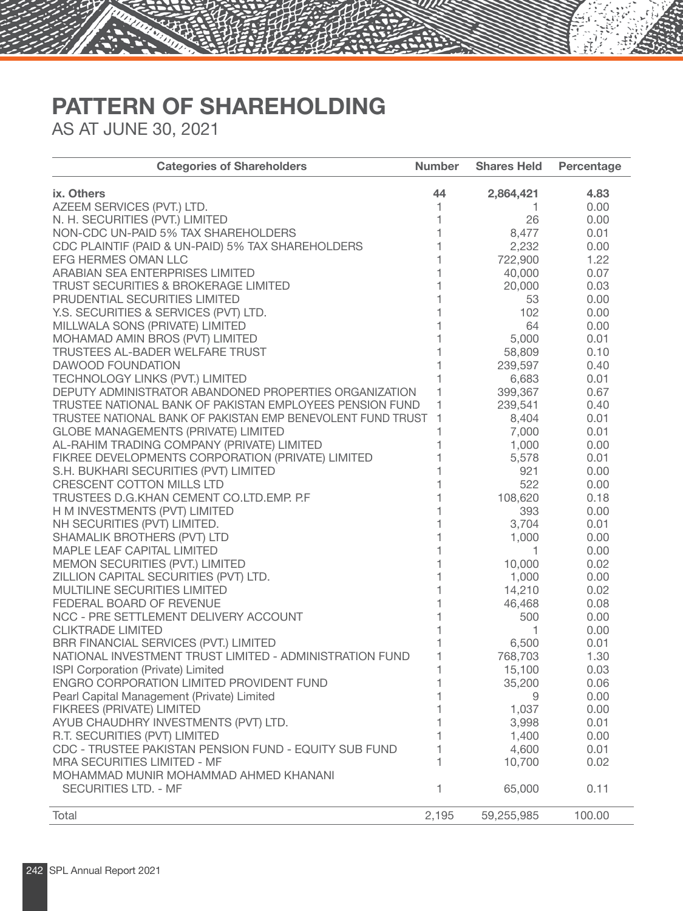| <b>Categories of Shareholders</b>                           | <b>Number</b>                | <b>Shares Held</b> | Percentage |
|-------------------------------------------------------------|------------------------------|--------------------|------------|
| ix. Others                                                  | 44                           | 2,864,421          | 4.83       |
| AZEEM SERVICES (PVT.) LTD.                                  | $\mathbf{1}$                 | 1                  | 0.00       |
| N. H. SECURITIES (PVT.) LIMITED                             |                              | 26                 | 0.00       |
| NON-CDC UN-PAID 5% TAX SHAREHOLDERS                         | $\mathbf{1}$<br>$\mathbf{1}$ | 8,477              | 0.01       |
| CDC PLAINTIF (PAID & UN-PAID) 5% TAX SHAREHOLDERS           | $\mathbf{1}$                 | 2,232              | 0.00       |
| EFG HERMES OMAN LLC                                         | $\mathbf{1}$                 | 722,900            | 1.22       |
| ARABIAN SEA ENTERPRISES LIMITED                             | $\mathbf{1}$                 | 40,000             | 0.07       |
| <b>TRUST SECURITIES &amp; BROKERAGE LIMITED</b>             | $\mathbf{1}$                 | 20,000             | 0.03       |
| PRUDENTIAL SECURITIES LIMITED                               | $\mathbf{1}$                 | 53                 | 0.00       |
| Y.S. SECURITIES & SERVICES (PVT) LTD.                       | $\mathbf{1}$                 | 102                | 0.00       |
| MILLWALA SONS (PRIVATE) LIMITED                             | $\overline{1}$               | 64                 | 0.00       |
| MOHAMAD AMIN BROS (PVT) LIMITED                             | $\mathbf{1}$                 | 5,000              | 0.01       |
| TRUSTEES AL-BADER WELFARE TRUST                             | $\mathbf{1}$                 | 58,809             | 0.10       |
| DAWOOD FOUNDATION                                           | $\mathbf{1}$                 | 239,597            | 0.40       |
| TECHNOLOGY LINKS (PVT.) LIMITED                             | 1                            | 6,683              | 0.01       |
| DEPUTY ADMINISTRATOR ABANDONED PROPERTIES ORGANIZATION      | $\mathbf{1}$                 | 399,367            | 0.67       |
| TRUSTEE NATIONAL BANK OF PAKISTAN EMPLOYEES PENSION FUND    | 1                            | 239,541            | 0.40       |
| TRUSTEE NATIONAL BANK OF PAKISTAN EMP BENEVOLENT FUND TRUST | 1                            | 8,404              | 0.01       |
| <b>GLOBE MANAGEMENTS (PRIVATE) LIMITED</b>                  | 1                            | 7,000              | 0.01       |
| AL-RAHIM TRADING COMPANY (PRIVATE) LIMITED                  | 1                            | 1,000              | 0.00       |
| FIKREE DEVELOPMENTS CORPORATION (PRIVATE) LIMITED           | $\mathbf 1$                  | 5,578              | 0.01       |
| S.H. BUKHARI SECURITIES (PVT) LIMITED                       | $\overline{1}$               | 921                | 0.00       |
| CRESCENT COTTON MILLS LTD                                   | $\mathbf{1}$                 | 522                | 0.00       |
| TRUSTEES D.G.KHAN CEMENT CO.LTD.EMP. P.F                    | $\mathbf{1}$                 | 108,620            | 0.18       |
| H M INVESTMENTS (PVT) LIMITED                               | $\mathbf{1}$                 | 393                | 0.00       |
| NH SECURITIES (PVT) LIMITED.                                | $\mathbf{1}$                 | 3,704              | 0.01       |
| SHAMALIK BROTHERS (PVT) LTD                                 | $\mathbf{1}$                 | 1,000              | 0.00       |
| MAPLE LEAF CAPITAL LIMITED                                  | $\overline{1}$               | 1.                 | 0.00       |
| MEMON SECURITIES (PVT.) LIMITED                             | $\mathbf{1}$                 | 10,000             | 0.02       |
| ZILLION CAPITAL SECURITIES (PVT) LTD.                       | $\mathbf{1}$                 | 1,000              | 0.00       |
| MULTILINE SECURITIES LIMITED                                | $\mathbf{1}$                 | 14,210             | 0.02       |
| FEDERAL BOARD OF REVENUE                                    | $\mathbf{1}$                 | 46,468             | 0.08       |
| NCC - PRE SETTLEMENT DELIVERY ACCOUNT                       | $\mathbf{1}$                 | 500                | 0.00       |
| <b>CLIKTRADE LIMITED</b>                                    | $\mathbf{1}$                 | 1                  | 0.00       |
| BRR FINANCIAL SERVICES (PVT.) LIMITED                       | 1                            | 6,500              | 0.01       |
| NATIONAL INVESTMENT TRUST LIMITED - ADMINISTRATION FUND     | $\mathbf 1$                  | 768,703            | 1.30       |
| ISPI Corporation (Private) Limited                          | $\overline{1}$               | 15,100             | 0.03       |
| ENGRO CORPORATION LIMITED PROVIDENT FUND                    | 1                            | 35,200             | 0.06       |
| Pearl Capital Management (Private) Limited                  |                              | 9                  | 0.00       |
| FIKREES (PRIVATE) LIMITED                                   | 1                            | 1,037              | 0.00       |
| AYUB CHAUDHRY INVESTMENTS (PVT) LTD.                        | 1                            | 3,998              | 0.01       |
| R.T. SECURITIES (PVT) LIMITED                               | 1                            | 1,400              | 0.00       |
| CDC - TRUSTEE PAKISTAN PENSION FUND - EQUITY SUB FUND       | 1                            | 4,600              | 0.01       |
| MRA SECURITIES LIMITED - MF                                 | 1                            | 10,700             | 0.02       |
| MOHAMMAD MUNIR MOHAMMAD AHMED KHANANI                       |                              |                    |            |
| SECURITIES LTD. - MF                                        | 1                            | 65,000             | 0.11       |
| Total                                                       | 2,195                        | 59,255,985         | 100.00     |